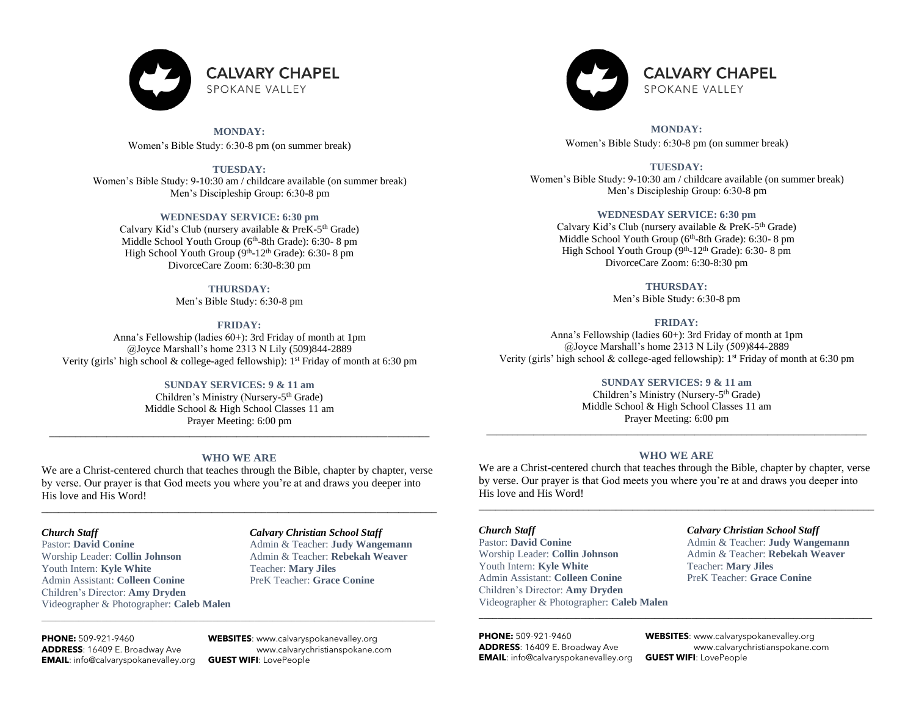

**MONDAY:** Women's Bible Study: 6:30-8 pm (on summer break)

**TUESDAY:** Women's Bible Study: 9-10:30 am / childcare available (on summer break) Men's Discipleship Group: 6:30-8 pm

### **WEDNESDAY SERVICE: 6:30 pm**

Calvary Kid's Club (nursery available & PreK-5<sup>th</sup> Grade) Middle School Youth Group (6<sup>th</sup>-8th Grade): 6:30-8 pm High School Youth Group (9<sup>th</sup>-12<sup>th</sup> Grade): 6:30-8 pm DivorceCare Zoom: 6:30-8:30 pm

### **THURSDAY:**

Men's Bible Study: 6:30-8 pm

## **FRIDAY:**

Anna's Fellowship (ladies 60+): 3rd Friday of month at 1pm @Joyce Marshall's home 2313 N Lily (509)844-2889 Verity (girls' high school  $\&$  college-aged fellowship): 1<sup>st</sup> Friday of month at 6:30 pm

## **SUNDAY SERVICES: 9 & 11 am**

Children's Ministry (Nursery-5<sup>th</sup> Grade) Middle School & High School Classes 11 am Prayer Meeting: 6:00 pm

## **WHO WE ARE**

\_\_\_\_\_\_\_\_\_\_\_\_\_\_\_\_\_\_\_\_\_\_\_\_\_\_\_\_\_\_\_\_\_\_\_\_\_\_\_\_\_\_\_\_\_\_\_\_\_\_\_\_\_\_\_\_\_\_\_\_\_\_\_\_\_\_\_\_\_\_\_\_\_

We are a Christ-centered church that teaches through the Bible, chapter by chapter, verse by verse. Our prayer is that God meets you where you're at and draws you deeper into His love and His Word!

\_\_\_\_\_\_\_\_\_\_\_\_\_\_\_\_\_\_\_\_\_\_\_\_\_\_\_\_\_\_\_\_\_\_\_\_\_\_\_\_\_\_\_\_\_\_\_\_\_\_\_\_\_\_\_\_\_\_\_\_\_\_\_\_\_\_\_\_\_\_\_\_

 $\_$  ,  $\_$  ,  $\_$  ,  $\_$  ,  $\_$  ,  $\_$  ,  $\_$  ,  $\_$  ,  $\_$  ,  $\_$  ,  $\_$  ,  $\_$  ,  $\_$  ,  $\_$  ,  $\_$  ,  $\_$  ,  $\_$  ,  $\_$  ,  $\_$  ,  $\_$  ,  $\_$  ,  $\_$  ,  $\_$  ,  $\_$  ,  $\_$  ,  $\_$  ,  $\_$  ,  $\_$  ,  $\_$  ,  $\_$  ,  $\_$  ,  $\_$  ,  $\_$  ,  $\_$  ,  $\_$  ,  $\_$  ,  $\_$  ,

Pastor: **David Conine** Admin & Teacher: **Judy Wangemann** Worship Leader: **Collin Johnson** Admin & Teacher: **Rebekah Weaver** Youth Intern: **Kyle White** Teacher: **Mary Jiles** Admin Assistant: **Colleen Conine** PreK Teacher: **Grace Conine** Children's Director: **Amy Dryden** Videographer & Photographer: **Caleb Malen**

# *Church Staff Calvary Christian School Staff*

**PHONE:** 509-921-9460 **WEBSITES**[: www.calvaryspokanevalley.org](http://www.calvaryspokanevalley.org/) **EMAIL**[: info@calvaryspokanevalley.org](mailto:info@calvaryspokanevalley.org) **GUEST WIFI**: LovePeople

**ADDRESS**: 16409 E. Broadway Ave [www.calvarychristianspokane.com](http://www.calvarychristianspokane.com/)



**MONDAY:** Women's Bible Study: 6:30-8 pm (on summer break)

**TUESDAY:** Women's Bible Study: 9-10:30 am / childcare available (on summer break) Men's Discipleship Group: 6:30-8 pm

### **WEDNESDAY SERVICE: 6:30 pm**

Calvary Kid's Club (nursery available & PreK-5<sup>th</sup> Grade) Middle School Youth Group (6<sup>th</sup>-8th Grade): 6:30- 8 pm High School Youth Group (9<sup>th</sup>-12<sup>th</sup> Grade): 6:30-8 pm DivorceCare Zoom: 6:30-8:30 pm

> **THURSDAY:** Men's Bible Study: 6:30-8 pm

#### **FRIDAY:**

Anna's Fellowship (ladies 60+): 3rd Friday of month at 1pm @Joyce Marshall's home 2313 N Lily (509)844-2889 Verity (girls' high school & college-aged fellowship): 1<sup>st</sup> Friday of month at 6:30 pm

## **SUNDAY SERVICES: 9 & 11 am**

Children's Ministry (Nursery-5<sup>th</sup> Grade) Middle School & High School Classes 11 am Prayer Meeting: 6:00 pm

\_\_\_\_\_\_\_\_\_\_\_\_\_\_\_\_\_\_\_\_\_\_\_\_\_\_\_\_\_\_\_\_\_\_\_\_\_\_\_\_\_\_\_\_\_\_\_\_\_\_\_\_\_\_\_\_\_\_\_\_\_\_\_\_\_\_\_\_\_\_\_\_\_

## **WHO WE ARE**

We are a Christ-centered church that teaches through the Bible, chapter by chapter, verse by verse. Our prayer is that God meets you where you're at and draws you deeper into His love and His Word!

\_\_\_\_\_\_\_\_\_\_\_\_\_\_\_\_\_\_\_\_\_\_\_\_\_\_\_\_\_\_\_\_\_\_\_\_\_\_\_\_\_\_\_\_\_\_\_\_\_\_\_\_\_\_\_\_\_\_\_\_\_\_\_\_\_\_\_\_\_\_\_\_

\_\_\_\_\_\_\_\_\_\_\_\_\_\_\_\_\_\_\_\_\_\_\_\_\_\_\_\_\_\_\_\_\_\_\_\_\_\_\_\_\_\_\_\_\_\_\_\_\_\_\_\_\_\_\_\_\_\_\_\_\_\_\_\_\_\_\_\_\_\_\_\_\_\_\_\_\_\_\_\_\_\_\_\_\_

Pastor: **David Conine Admin & Teacher: <b>Judy Wangemann** Worship Leader: **Collin Johnson** Admin & Teacher: **Rebekah Weaver** Youth Intern: **Kyle White** Teacher: **Mary Jiles** Admin Assistant: **Colleen Conine** PreK Teacher: **Grace Conine** Children's Director: **Amy Dryden** Videographer & Photographer: **Caleb Malen**

### *Church Staff Calvary Christian School Staff*

**EMAIL**[: info@calvaryspokanevalley.org](mailto:info@calvaryspokanevalley.org) **GUEST WIFI**: LovePeople

**PHONE:** 509-921-9460 **WEBSITES**[: www.calvaryspokanevalley.org](http://www.calvaryspokanevalley.org/) **ADDRESS**: 16409 E. Broadway Ave [www.calvarychristianspokane.com](http://www.calvarychristianspokane.com/)